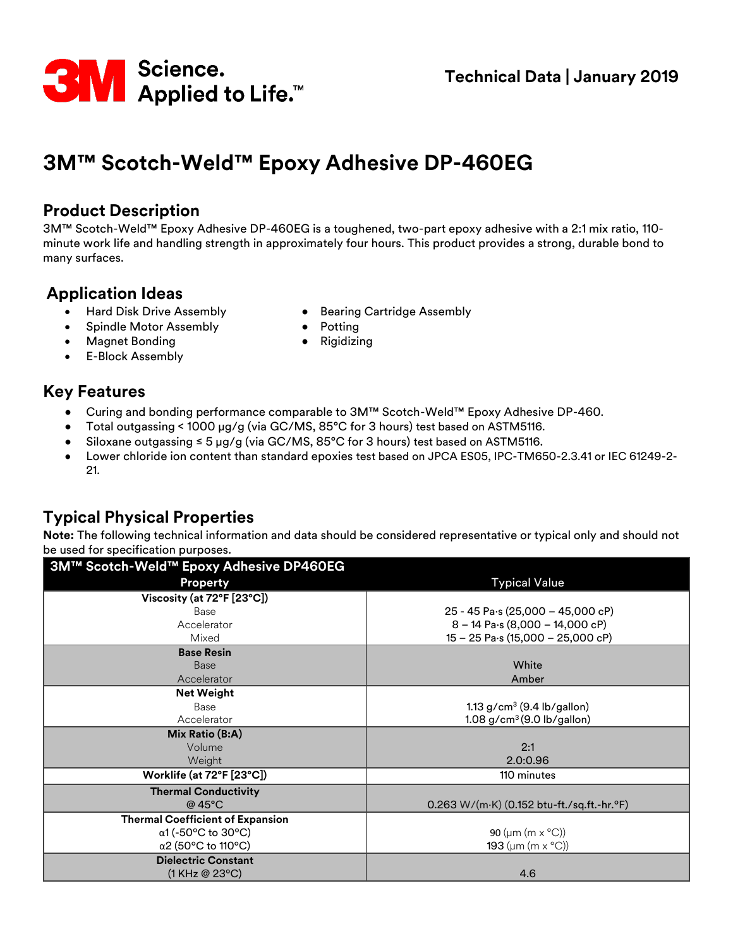

# **3M™ Scotch-Weld™ Epoxy Adhesive DP-460EG**

#### **Product Description**

3M™ Scotch-Weld™ Epoxy Adhesive DP-460EG is a toughened, two-part epoxy adhesive with a 2:1 mix ratio, 110 minute work life and handling strength in approximately four hours. This product provides a strong, durable bond to many surfaces.

#### **Application Ideas**

- Hard Disk Drive Assembly Bearing Cartridge Assembly
- Spindle Motor Assembly Potting
- Magnet Bonding  **Rigidizing**
- E-Block Assembly

#### **Key Features**

- Curing and bonding performance comparable to 3M™ Scotch-Weld™ Epoxy Adhesive DP-460.
- Total outgassing < 1000 μg/g (via GC/MS, 85°C for 3 hours) test based on ASTM5116.
- Siloxane outgassing ≤ 5 μg/g (via GC/MS, 85°C for 3 hours) test based on ASTM5116.
- Lower chloride ion content than standard epoxies test based on JPCA ES05, IPC-TM650-2.3.41 or IEC 61249-2- 21.

## **Typical Physical Properties**

**Note:** The following technical information and data should be considered representative or typical only and should not be used for specification purposes.

| 3M™ Scotch-Weld™ Epoxy Adhesive DP460EG |                                                           |
|-----------------------------------------|-----------------------------------------------------------|
| <b>Property</b>                         | <b>Typical Value</b>                                      |
| Viscosity (at 72°F [23°C])              |                                                           |
| Base                                    | $25 - 45$ Pa·s (25,000 - 45,000 cP)                       |
| Accelerator                             | $8 - 14$ Pa $\cdot$ s (8,000 - 14,000 cP)                 |
| Mixed                                   | $15 - 25$ Pa·s (15,000 - 25,000 cP)                       |
| <b>Base Resin</b>                       |                                                           |
| Base                                    | White                                                     |
| Accelerator                             | Amber                                                     |
| <b>Net Weight</b>                       |                                                           |
| Base                                    | 1.13 $g/cm^{3}$ (9.4 lb/gallon)                           |
| Accelerator                             | 1.08 $g/cm^{3}$ (9.0 lb/gallon)                           |
| Mix Ratio (B:A)                         |                                                           |
| Volume                                  | 2:1                                                       |
| Weight                                  | 2.0:0.96                                                  |
| Worklife (at 72°F [23°C])               | 110 minutes                                               |
| <b>Thermal Conductivity</b>             |                                                           |
| @45°C                                   | $0.263 W/(m·K)$ (0.152 btu-ft./sq.ft.-hr. <sup>o</sup> F) |
| <b>Thermal Coefficient of Expansion</b> |                                                           |
| $\alpha$ 1 (-50°C to 30°C)              | 90 ( $\mu$ m (m x °C))                                    |
| $\alpha$ 2 (50°C to 110°C)              | <b>193</b> ( $\mu$ m (m x °C))                            |
| <b>Dielectric Constant</b>              |                                                           |
| (1 KHz @ 23°C)                          | 4.6                                                       |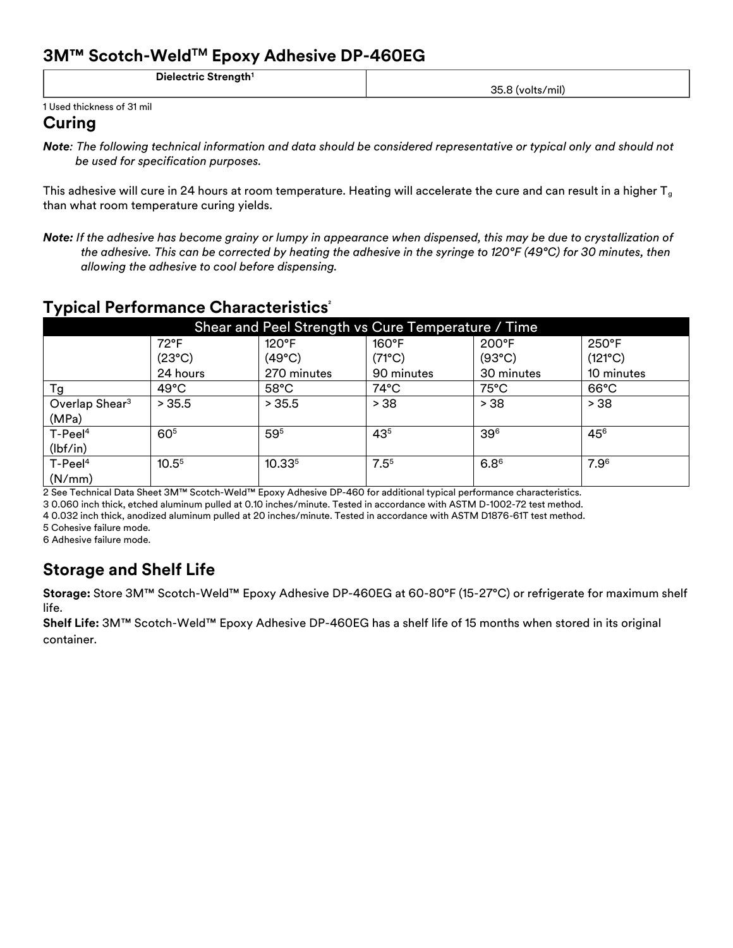#### **3M™ Scotch-WeldTM Epoxy Adhesive DP-460EG**

| Dielectric Strength <sup>1</sup> |                  |
|----------------------------------|------------------|
|                                  | 35.8 (volts/mil) |

1 Used thickness of 31 mil

#### **Curing**

*Note: The following technical information and data should be considered representative or typical only and should not be used for specification purposes.*

This adhesive will cure in 24 hours at room temperature. Heating will accelerate the cure and can result in a higher  $T_g$ than what room temperature curing yields.

*Note: If the adhesive has become grainy or lumpy in appearance when dispensed, this may be due to crystallization of the adhesive. This can be corrected by heating the adhesive in the syringe to 120°F (49°C) for 30 minutes, then allowing the adhesive to cool before dispensing.*

#### Shear and Peel Strength vs Cure Temperature / Time 72°F (23°C) 24 hours 120°F (49°C) 270 minutes 160°F (71°C) 90 minutes 200°F (93°C) 30 minutes 250°F (121°C) 10 minutes Tg | 49°C | 58°C | 74°C | 75°C | 66°C Overlap Shear<sup>3</sup> (MPa) > 35.5 > 35.5 > 38 > 38 > 38 T-Peel<sup>4</sup> (lbf/in)  $60^5$   $\begin{array}{|l} 59^5 \end{array}$   $43^5$   $\begin{array}{|l} 39^6 \end{array}$   $145^6$ T-Peel<sup>4</sup> (N/mm) 10.5<sup>5</sup> 10.33 $^5$  | 7.5 $^5$  | 6.8 $^6$  | 7.9 $^6$

**Typical Performance Characteristics<sup>2</sup>**

2 See Technical Data Sheet 3M™ Scotch-Weld™ Epoxy Adhesive DP-460 for additional typical performance characteristics.

3 0.060 inch thick, etched aluminum pulled at 0.10 inches/minute. Tested in accordance with ASTM D-1002-72 test method.

4 0.032 inch thick, anodized aluminum pulled at 20 inches/minute. Tested in accordance with ASTM D1876-61T test method.

5 Cohesive failure mode.

6 Adhesive failure mode.

## **Storage and Shelf Life**

**Storage:** Store 3M™ Scotch-Weld™ Epoxy Adhesive DP-460EG at 60-80°F (15-27°C) or refrigerate for maximum shelf life.

**Shelf Life:** 3M™ Scotch-Weld™ Epoxy Adhesive DP-460EG has a shelf life of 15 months when stored in its original container.